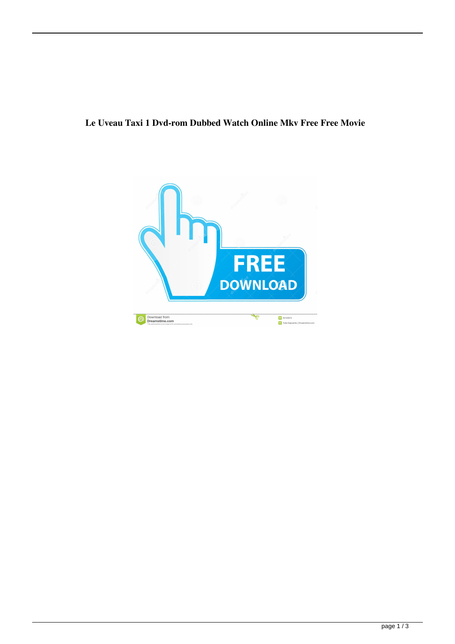## **Le Uveau Taxi 1 Dvd-rom Dubbed Watch Online Mkv Free Free Movie**

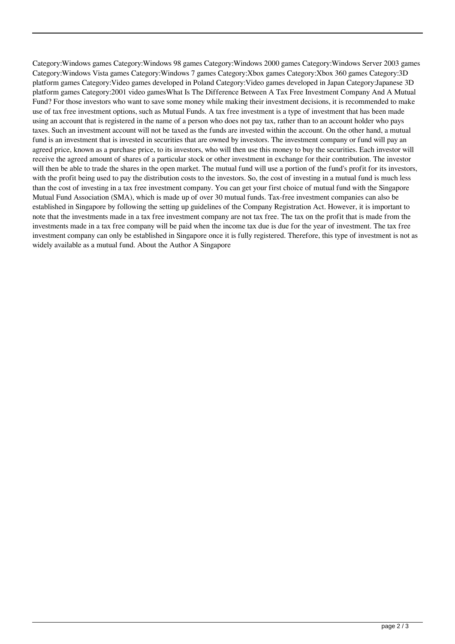Category:Windows games Category:Windows 98 games Category:Windows 2000 games Category:Windows Server 2003 games Category:Windows Vista games Category:Windows 7 games Category:Xbox games Category:Xbox 360 games Category:3D platform games Category:Video games developed in Poland Category:Video games developed in Japan Category:Japanese 3D platform games Category:2001 video gamesWhat Is The Difference Between A Tax Free Investment Company And A Mutual Fund? For those investors who want to save some money while making their investment decisions, it is recommended to make use of tax free investment options, such as Mutual Funds. A tax free investment is a type of investment that has been made using an account that is registered in the name of a person who does not pay tax, rather than to an account holder who pays taxes. Such an investment account will not be taxed as the funds are invested within the account. On the other hand, a mutual fund is an investment that is invested in securities that are owned by investors. The investment company or fund will pay an agreed price, known as a purchase price, to its investors, who will then use this money to buy the securities. Each investor will receive the agreed amount of shares of a particular stock or other investment in exchange for their contribution. The investor will then be able to trade the shares in the open market. The mutual fund will use a portion of the fund's profit for its investors, with the profit being used to pay the distribution costs to the investors. So, the cost of investing in a mutual fund is much less than the cost of investing in a tax free investment company. You can get your first choice of mutual fund with the Singapore Mutual Fund Association (SMA), which is made up of over 30 mutual funds. Tax-free investment companies can also be established in Singapore by following the setting up guidelines of the Company Registration Act. However, it is important to note that the investments made in a tax free investment company are not tax free. The tax on the profit that is made from the investments made in a tax free company will be paid when the income tax due is due for the year of investment. The tax free investment company can only be established in Singapore once it is fully registered. Therefore, this type of investment is not as widely available as a mutual fund. About the Author A Singapore